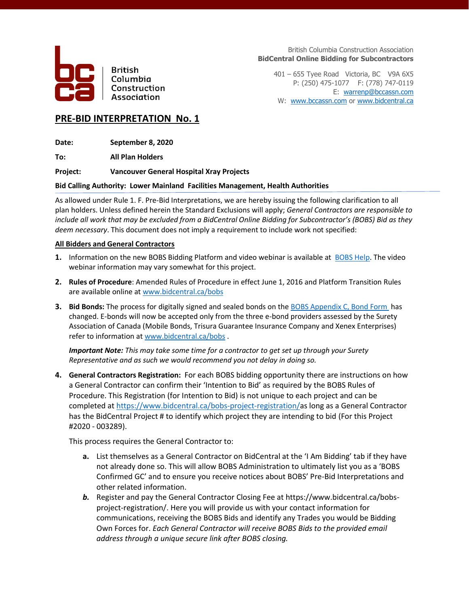

**British** Columbia Construction Association

British Columbia Construction Association **BidCentral Online Bidding for Subcontractors**

401 – 655 Tyee Road Victoria, BC V9A 6X5 P: (250) 475-1077 F: (778) 747-0119 E: [warrenp@bccassn.com](mailto:warrenp@bccassn.com) W: [www.bccassn.com](http://www.bccassn.com/) o[r www.bidcentral.ca](http://www.bidcentral.ca/)

## **PRE-BID INTERPRETATION No. 1**

**Date: September 8, 2020**

**To: All Plan Holders**

### **Project: Vancouver General Hospital Xray Projects**

### **Bid Calling Authority: Lower Mainland Facilities Management, Health Authorities**

As allowed under Rule 1. F. Pre-Bid Interpretations, we are hereby issuing the following clarification to all plan holders. Unless defined herein the Standard Exclusions will apply; *General Contractors are responsible to include all work that may be excluded from a BidCentral Online Bidding for Subcontractor's (BOBS) Bid as they deem necessary*. This document does not imply a requirement to include work not specified:

### **All Bidders and General Contractors**

- **1.** Information on the new BOBS Bidding Platform and video webinar is available at [BOBS Help.](http://www.bidcentral.ca/bobs) The video webinar information may vary somewhat for this project.
- **2. Rules of Procedure**: Amended Rules of Procedure in effect June 1, 2016 and Platform Transition Rules are available online at [www.bidcentral.ca/bobs](http://www.bidcentral.ca/bobs)
- **3.** Bid Bonds: The process for digitally signed and sealed bonds on th[e BOBS Appendix C, Bond Form](https://www.bidcentral.ca/help/bobs-bond-form/) has changed. E-bonds will now be accepted only from the three e-bond providers assessed by the Surety Association of Canada (Mobile Bonds, Trisura Guarantee Insurance Company and Xenex Enterprises) refer to information at [www.bidcentral.ca/bobs](http://www.bidcentral.ca/bobs) .

*Important Note: This may take some time for a contractor to get set up through your Surety Representative and as such we would recommend you not delay in doing so.* 

**4. General Contractors Registration:** For each BOBS bidding opportunity there are instructions on how a General Contractor can confirm their 'Intention to Bid' as required by the BOBS Rules of Procedure. This Registration (for Intention to Bid) is not unique to each project and can be completed at [https://www.bidcentral.ca/bobs-project-registration/a](https://www.bidcentral.ca/bobs-project-registration/)s long as a General Contractor has the BidCentral Project # to identify which project they are intending to bid (For this Project #2020 - 003289).

This process requires the General Contractor to:

- **a.** List themselves as a General Contractor on BidCentral at the 'I Am Bidding' tab if they have not already done so. This will allow BOBS Administration to ultimately list you as a 'BOBS Confirmed GC' and to ensure you receive notices about BOBS' Pre-Bid Interpretations and other related information.
- *b.* Register and pay the General Contractor Closing Fee at https://www.bidcentral.ca/bobsproject-registration/. Here you will provide us with your contact information for communications, receiving the BOBS Bids and identify any Trades you would be Bidding Own Forces for. *Each General Contractor will receive BOBS Bids to the provided email address through a unique secure link after BOBS closing.*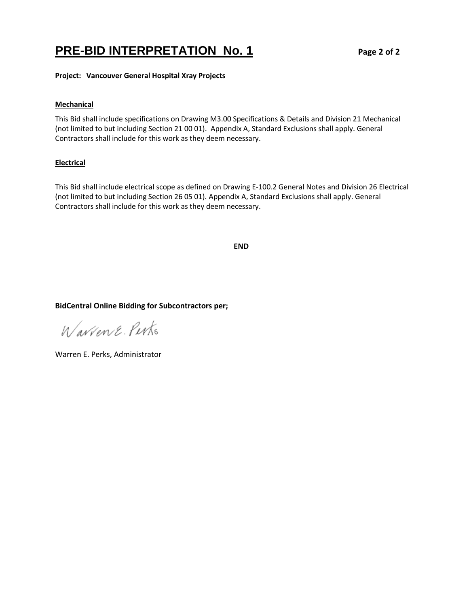# **PRE-BID INTERPRETATION No. 1 Page 2 of 2**

**Project: Vancouver General Hospital Xray Projects**

### **Mechanical**

This Bid shall include specifications on Drawing M3.00 Specifications & Details and Division 21 Mechanical (not limited to but including Section 21 00 01). Appendix A, Standard Exclusions shall apply. General Contractors shall include for this work as they deem necessary.

### **Electrical**

This Bid shall include electrical scope as defined on Drawing E-100.2 General Notes and Division 26 Electrical (not limited to but including Section 26 05 01). Appendix A, Standard Exclusions shall apply. General Contractors shall include for this work as they deem necessary.

**END**

### **BidCentral Online Bidding for Subcontractors per;**

Warrene Perks

Warren E. Perks, Administrator